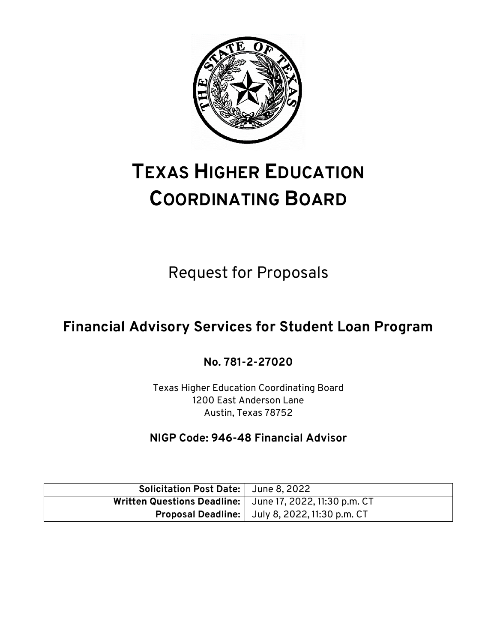

# **TEXAS HIGHER EDUCATION COORDINATING BOARD**

Request for Proposals

## **Financial Advisory Services for Student Loan Program**

**No. 781-2-27020**

Texas Higher Education Coordinating Board 1200 East Anderson Lane Austin, Texas 78752

**NIGP Code: 946-48 Financial Advisor**

| Solicitation Post Date:   June 8, 2022                     |                                                         |
|------------------------------------------------------------|---------------------------------------------------------|
| Written Questions Deadline:   June 17, 2022, 11:30 p.m. CT |                                                         |
|                                                            | <b>Proposal Deadline:</b>   July 8, 2022, 11:30 p.m. CT |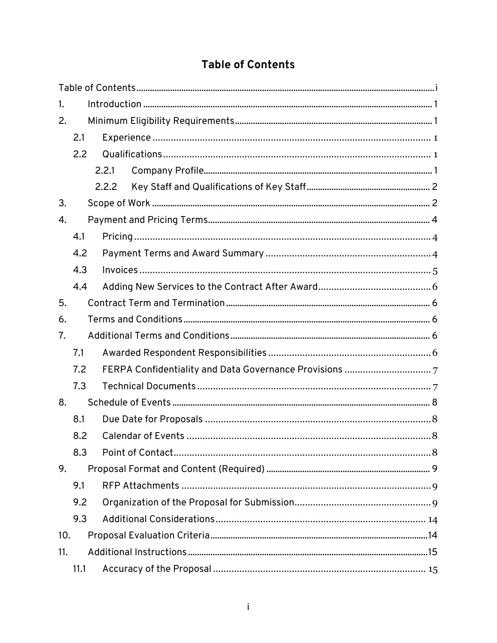## **Table of Contents**

<span id="page-1-0"></span>

| 1.  |      |       |  |  |  |
|-----|------|-------|--|--|--|
| 2.  |      |       |  |  |  |
|     | 2.1  |       |  |  |  |
|     | 2.2  |       |  |  |  |
|     |      | 2.2.1 |  |  |  |
|     |      | 2.2.2 |  |  |  |
| 3.  |      |       |  |  |  |
| 4.  |      |       |  |  |  |
|     | 4.1  |       |  |  |  |
|     | 4.2  |       |  |  |  |
|     | 4.3  |       |  |  |  |
|     | 4.4  |       |  |  |  |
| 5.  |      |       |  |  |  |
| 6.  |      |       |  |  |  |
| 7.  |      |       |  |  |  |
|     | 7.1  |       |  |  |  |
|     | 7.2  |       |  |  |  |
|     | 7.3  |       |  |  |  |
| 8.  |      |       |  |  |  |
|     | 8.1  |       |  |  |  |
|     | 8.2  |       |  |  |  |
|     | 8.3  |       |  |  |  |
| 9.  |      |       |  |  |  |
|     | 9.1  |       |  |  |  |
|     | 9.2  |       |  |  |  |
|     | 9.3  |       |  |  |  |
| 10. |      |       |  |  |  |
| 11. |      |       |  |  |  |
|     | 11.1 |       |  |  |  |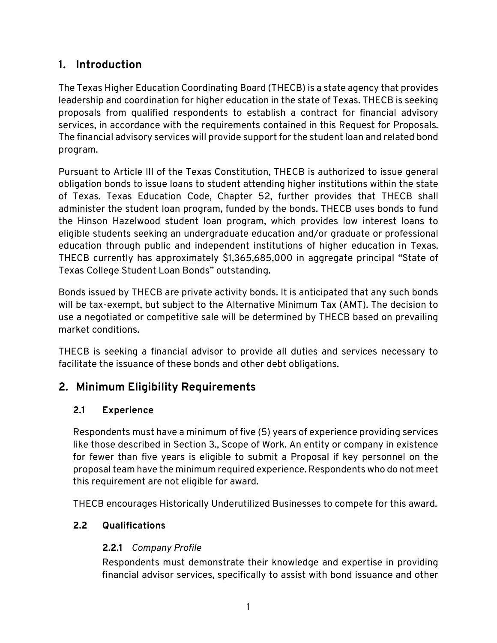## <span id="page-3-0"></span>**1. Introduction**

The Texas Higher Education Coordinating Board (THECB) is a state agency that provides leadership and coordination for higher education in the state of Texas. THECB is seeking proposals from qualified respondents to establish a contract for financial advisory services, in accordance with the requirements contained in this Request for Proposals. The financial advisory services will provide support for the student loan and related bond program.

Pursuant to Article III of the Texas Constitution, THECB is authorized to issue general obligation bonds to issue loans to student attending higher institutions within the state of Texas. Texas Education Code, Chapter 52, further provides that THECB shall administer the student loan program, funded by the bonds. THECB uses bonds to fund the Hinson Hazelwood student loan program, which provides low interest loans to eligible students seeking an undergraduate education and/or graduate or professional education through public and independent institutions of higher education in Texas. THECB currently has approximately \$1,365,685,000 in aggregate principal "State of Texas College Student Loan Bonds" outstanding.

Bonds issued by THECB are private activity bonds. It is anticipated that any such bonds will be tax-exempt, but subject to the Alternative Minimum Tax (AMT). The decision to use a negotiated or competitive sale will be determined by THECB based on prevailing market conditions.

THECB is seeking a financial advisor to provide all duties and services necessary to facilitate the issuance of these bonds and other debt obligations.

## <span id="page-3-1"></span>**2. Minimum Eligibility Requirements**

## <span id="page-3-2"></span>**2.1 Experience**

Respondents must have a minimum of five (5) years of experience providing services like those described in Section 3., Scope of Work. An entity or company in existence for fewer than five years is eligible to submit a Proposal if key personnel on the proposal team have the minimum required experience. Respondents who do not meet this requirement are not eligible for award.

THECB encourages Historically Underutilized Businesses to compete for this award.

## <span id="page-3-4"></span><span id="page-3-3"></span>**2.2 Qualifications**

## **2.2.1** *Company Profile*

Respondents must demonstrate their knowledge and expertise in providing financial advisor services, specifically to assist with bond issuance and other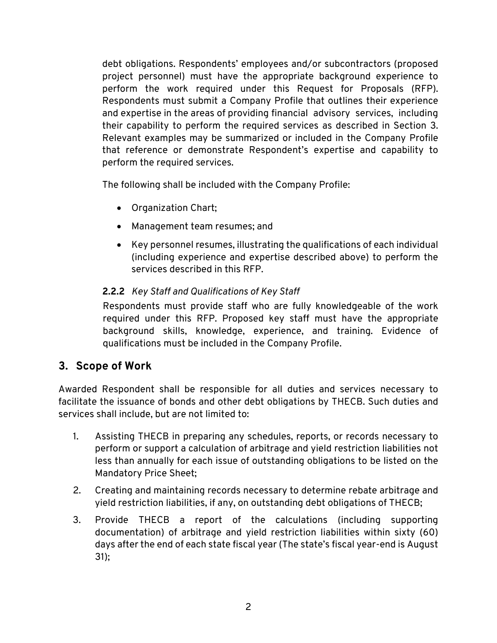debt obligations. Respondents' employees and/or subcontractors (proposed project personnel) must have the appropriate background experience to perform the work required under this Request for Proposals (RFP). Respondents must submit a Company Profile that outlines their experience and expertise in the areas of providing financial advisory services, including their capability to perform the required services as described in Section 3. Relevant examples may be summarized or included in the Company Profile that reference or demonstrate Respondent's expertise and capability to perform the required services.

The following shall be included with the Company Profile:

- Organization Chart;
- Management team resumes; and
- Key personnel resumes, illustrating the qualifications of each individual (including experience and expertise described above) to perform the services described in this RFP.

## <span id="page-4-0"></span>**2.2.2** *Key Staff and Qualifications of Key Staff*

Respondents must provide staff who are fully knowledgeable of the work required under this RFP. Proposed key staff must have the appropriate background skills, knowledge, experience, and training. Evidence of qualifications must be included in the Company Profile.

## <span id="page-4-1"></span>**3. Scope of Work**

Awarded Respondent shall be responsible for all duties and services necessary to facilitate the issuance of bonds and other debt obligations by THECB. Such duties and services shall include, but are not limited to:

- 1. Assisting THECB in preparing any schedules, reports, or records necessary to perform or support a calculation of arbitrage and yield restriction liabilities not less than annually for each issue of outstanding obligations to be listed on the Mandatory Price Sheet;
- 2. Creating and maintaining records necessary to determine rebate arbitrage and yield restriction liabilities, if any, on outstanding debt obligations of THECB;
- 3. Provide THECB a report of the calculations (including supporting documentation) of arbitrage and yield restriction liabilities within sixty (60) days after the end of each state fiscal year (The state's fiscal year-end is August 31);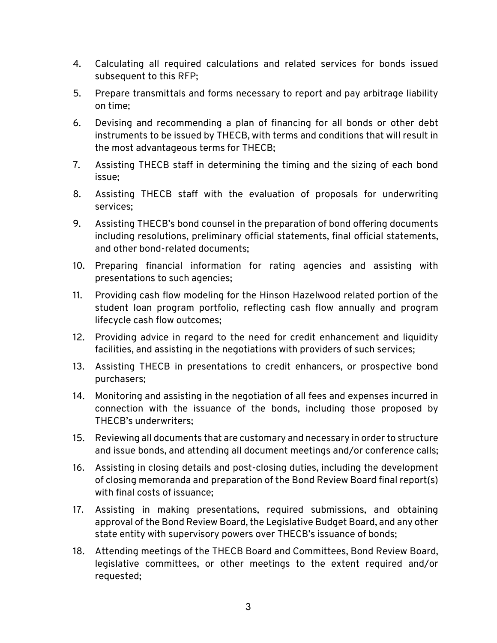- 4. Calculating all required calculations and related services for bonds issued subsequent to this RFP;
- 5. Prepare transmittals and forms necessary to report and pay arbitrage liability on time;
- 6. Devising and recommending a plan of financing for all bonds or other debt instruments to be issued by THECB, with terms and conditions that will result in the most advantageous terms for THECB;
- 7. Assisting THECB staff in determining the timing and the sizing of each bond issue;
- 8. Assisting THECB staff with the evaluation of proposals for underwriting services;
- 9. Assisting THECB's bond counsel in the preparation of bond offering documents including resolutions, preliminary official statements, final official statements, and other bond-related documents;
- 10. Preparing financial information for rating agencies and assisting with presentations to such agencies;
- 11. Providing cash flow modeling for the Hinson Hazelwood related portion of the student loan program portfolio, reflecting cash flow annually and program lifecycle cash flow outcomes;
- 12. Providing advice in regard to the need for credit enhancement and liquidity facilities, and assisting in the negotiations with providers of such services;
- 13. Assisting THECB in presentations to credit enhancers, or prospective bond purchasers;
- 14. Monitoring and assisting in the negotiation of all fees and expenses incurred in connection with the issuance of the bonds, including those proposed by THECB's underwriters;
- 15. Reviewing all documents that are customary and necessary in order to structure and issue bonds, and attending all document meetings and/or conference calls;
- 16. Assisting in closing details and post-closing duties, including the development of closing memoranda and preparation of the Bond Review Board final report(s) with final costs of issuance;
- 17. Assisting in making presentations, required submissions, and obtaining approval of the Bond Review Board, the Legislative Budget Board, and any other state entity with supervisory powers over THECB's issuance of bonds;
- 18. Attending meetings of the THECB Board and Committees, Bond Review Board, legislative committees, or other meetings to the extent required and/or requested;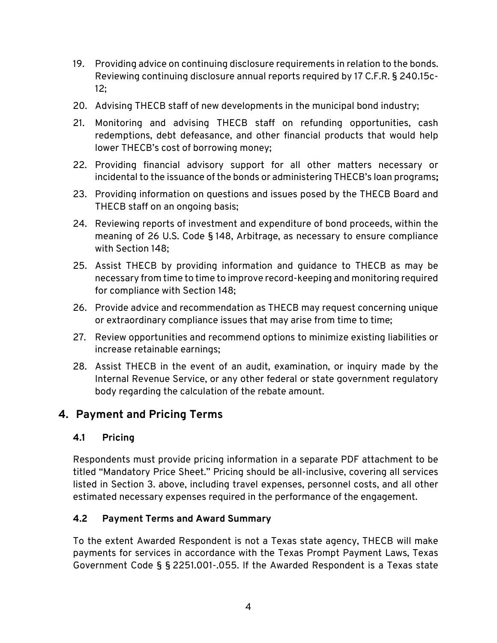- 19. Providing advice on continuing disclosure requirements in relation to the bonds. Reviewing continuing disclosure annual reports required by 17 C.F.R. § 240.15c-12;
- 20. Advising THECB staff of new developments in the municipal bond industry;
- 21. Monitoring and advising THECB staff on refunding opportunities, cash redemptions, debt defeasance, and other financial products that would help lower THECB's cost of borrowing money;
- 22. Providing financial advisory support for all other matters necessary or incidental to the issuance of the bonds or administering THECB's loan programs;
- 23. Providing information on questions and issues posed by the THECB Board and THECB staff on an ongoing basis;
- 24. Reviewing reports of investment and expenditure of bond proceeds, within the meaning of 26 U.S. Code § 148, Arbitrage, as necessary to ensure compliance with Section 148;
- 25. Assist THECB by providing information and guidance to THECB as may be necessary from time to time to improve record-keeping and monitoring required for compliance with Section 148;
- 26. Provide advice and recommendation as THECB may request concerning unique or extraordinary compliance issues that may arise from time to time;
- 27. Review opportunities and recommend options to minimize existing liabilities or increase retainable earnings;
- 28. Assist THECB in the event of an audit, examination, or inquiry made by the Internal Revenue Service, or any other federal or state government regulatory body regarding the calculation of the rebate amount.

## <span id="page-6-0"></span>**4. Payment and Pricing Terms**

## <span id="page-6-1"></span>**4.1 Pricing**

Respondents must provide pricing information in a separate PDF attachment to be titled "Mandatory Price Sheet." Pricing should be all-inclusive, covering all services listed in Section 3. above, including travel expenses, personnel costs, and all other estimated necessary expenses required in the performance of the engagement.

## <span id="page-6-2"></span>**4.2 Payment Terms and Award Summary**

To the extent Awarded Respondent is not a Texas state agency, THECB will make payments for services in accordance with the Texas Prompt Payment Laws, Texas Government Code § § 2251.001-.055. If the Awarded Respondent is a Texas state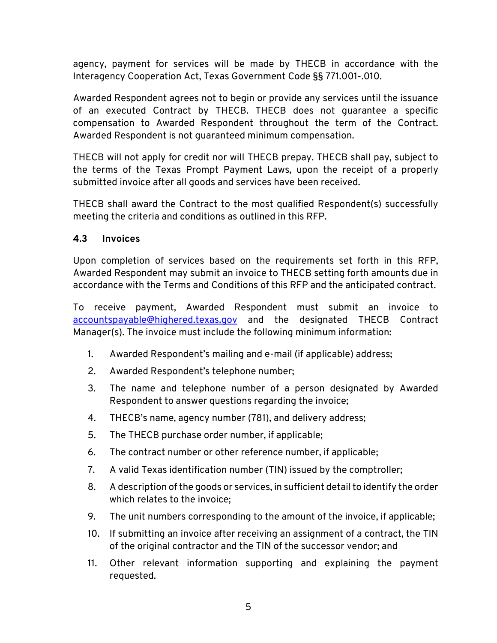agency, payment for services will be made by THECB in accordance with the Interagency Cooperation Act, Texas Government Code §§ 771.001-.010.

Awarded Respondent agrees not to begin or provide any services until the issuance of an executed Contract by THECB. THECB does not guarantee a specific compensation to Awarded Respondent throughout the term of the Contract. Awarded Respondent is not guaranteed minimum compensation.

THECB will not apply for credit nor will THECB prepay. THECB shall pay, subject to the terms of the Texas Prompt Payment Laws, upon the receipt of a properly submitted invoice after all goods and services have been received.

THECB shall award the Contract to the most qualified Respondent(s) successfully meeting the criteria and conditions as outlined in this RFP.

#### <span id="page-7-0"></span>**4.3 Invoices**

Upon completion of services based on the requirements set forth in this RFP, Awarded Respondent may submit an invoice to THECB setting forth amounts due in accordance with the Terms and Conditions of this RFP and the anticipated contract.

To receive payment, Awarded Respondent must submit an invoice to [accountspayable@highered.texas.gov](mailto:accountspayable@highered.texas.gov) and the designated THECB Contract Manager(s). The invoice must include the following minimum information:

- 1. Awarded Respondent's mailing and e-mail (if applicable) address;
- 2. Awarded Respondent's telephone number;
- 3. The name and telephone number of a person designated by Awarded Respondent to answer questions regarding the invoice;
- 4. THECB's name, agency number (781), and delivery address;
- 5. The THECB purchase order number, if applicable;
- 6. The contract number or other reference number, if applicable;
- 7. A valid Texas identification number (TIN) issued by the comptroller;
- 8. A description of the goods or services, in sufficient detail to identify the order which relates to the invoice;
- 9. The unit numbers corresponding to the amount of the invoice, if applicable;
- 10. If submitting an invoice after receiving an assignment of a contract, the TIN of the original contractor and the TIN of the successor vendor; and
- 11. Other relevant information supporting and explaining the payment requested.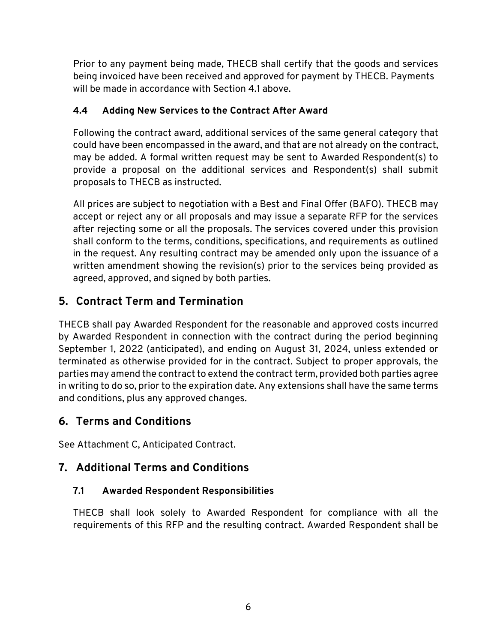Prior to any payment being made, THECB shall certify that the goods and services being invoiced have been received and approved for payment by THECB. Payments will be made in accordance with Section 4.1 above.

## <span id="page-8-0"></span>**4.4 Adding New Services to the Contract After Award**

Following the contract award, additional services of the same general category that could have been encompassed in the award, and that are not already on the contract, may be added. A formal written request may be sent to Awarded Respondent(s) to provide a proposal on the additional services and Respondent(s) shall submit proposals to THECB as instructed.

All prices are subject to negotiation with a Best and Final Offer (BAFO). THECB may accept or reject any or all proposals and may issue a separate RFP for the services after rejecting some or all the proposals. The services covered under this provision shall conform to the terms, conditions, specifications, and requirements as outlined in the request. Any resulting contract may be amended only upon the issuance of a written amendment showing the revision(s) prior to the services being provided as agreed, approved, and signed by both parties.

## <span id="page-8-1"></span>**5. Contract Term and Termination**

THECB shall pay Awarded Respondent for the reasonable and approved costs incurred by Awarded Respondent in connection with the contract during the period beginning September 1, 2022 (anticipated), and ending on August 31, 2024, unless extended or terminated as otherwise provided for in the contract. Subject to proper approvals, the parties may amend the contract to extend the contract term, provided both parties agree in writing to do so, prior to the expiration date. Any extensions shall have the same terms and conditions, plus any approved changes.

## <span id="page-8-2"></span>**6. Terms and Conditions**

See Attachment C, Anticipated Contract.

## <span id="page-8-3"></span>**7. Additional Terms and Conditions**

## <span id="page-8-4"></span>**7.1 Awarded Respondent Responsibilities**

THECB shall look solely to Awarded Respondent for compliance with all the requirements of this RFP and the resulting contract. Awarded Respondent shall be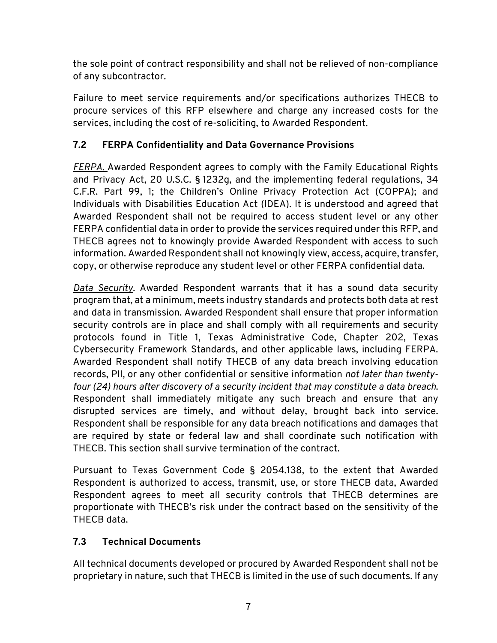the sole point of contract responsibility and shall not be relieved of non-compliance of any subcontractor.

Failure to meet service requirements and/or specifications authorizes THECB to procure services of this RFP elsewhere and charge any increased costs for the services, including the cost of re-soliciting, to Awarded Respondent.

## <span id="page-9-0"></span>**7.2 FERPA Confidentiality and Data Governance Provisions**

*FERPA.* Awarded Respondent agrees to comply with the Family Educational Rights and Privacy Act, 20 U.S.C. § 1232g, and the implementing federal regulations, 34 C.F.R. Part 99, 1; the Children's Online Privacy Protection Act (COPPA); and Individuals with Disabilities Education Act (IDEA). It is understood and agreed that Awarded Respondent shall not be required to access student level or any other FERPA confidential data in order to provide the services required under this RFP, and THECB agrees not to knowingly provide Awarded Respondent with access to such information. Awarded Respondent shall not knowingly view, access, acquire, transfer, copy, or otherwise reproduce any student level or other FERPA confidential data.

*Data Security.* Awarded Respondent warrants that it has a sound data security program that, at a minimum, meets industry standards and protects both data at rest and data in transmission. Awarded Respondent shall ensure that proper information security controls are in place and shall comply with all requirements and security protocols found in Title 1, Texas Administrative Code, Chapter 202, Texas Cybersecurity Framework Standards, and other applicable laws, including FERPA. Awarded Respondent shall notify THECB of any data breach involving education records, PII, or any other confidential or sensitive information *not later than twentyfour (24) hours after discovery of a security incident that may constitute a data breach*. Respondent shall immediately mitigate any such breach and ensure that any disrupted services are timely, and without delay, brought back into service. Respondent shall be responsible for any data breach notifications and damages that are required by state or federal law and shall coordinate such notification with THECB. This section shall survive termination of the contract.

Pursuant to Texas Government Code § 2054.138, to the extent that Awarded Respondent is authorized to access, transmit, use, or store THECB data, Awarded Respondent agrees to meet all security controls that THECB determines are proportionate with THECB's risk under the contract based on the sensitivity of the THECB data.

## <span id="page-9-1"></span>**7.3 Technical Documents**

All technical documents developed or procured by Awarded Respondent shall not be proprietary in nature, such that THECB is limited in the use of such documents. If any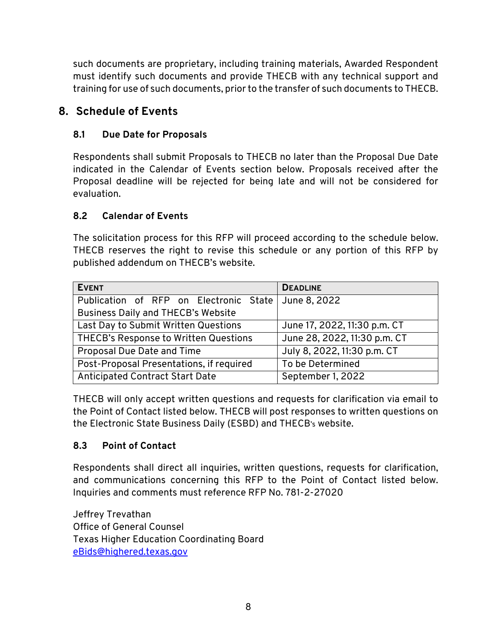such documents are proprietary, including training materials, Awarded Respondent must identify such documents and provide THECB with any technical support and training for use of such documents, prior to the transfer of such documents to THECB.

## <span id="page-10-0"></span>**8. Schedule of Events**

## <span id="page-10-1"></span>**8.1 Due Date for Proposals**

Respondents shall submit Proposals to THECB no later than the Proposal Due Date indicated in the Calendar of Events section below. Proposals received after the Proposal deadline will be rejected for being late and will not be considered for evaluation.

## <span id="page-10-2"></span>**8.2 Calendar of Events**

The solicitation process for this RFP will proceed according to the schedule below. THECB reserves the right to revise this schedule or any portion of this RFP by published addendum on THECB's website.

| <b>EVENT</b>                                        | <b>DEADLINE</b>              |
|-----------------------------------------------------|------------------------------|
| Publication of RFP on Electronic State June 8, 2022 |                              |
| <b>Business Daily and THECB's Website</b>           |                              |
| Last Day to Submit Written Questions                | June 17, 2022, 11:30 p.m. CT |
| THECB's Response to Written Questions               | June 28, 2022, 11:30 p.m. CT |
| Proposal Due Date and Time                          | July 8, 2022, 11:30 p.m. CT  |
| Post-Proposal Presentations, if required            | To be Determined             |
| <b>Anticipated Contract Start Date</b>              | September 1, 2022            |

THECB will only accept written questions and requests for clarification via email to the Point of Contact listed below. THECB will post responses to written questions on the Electronic State Business Daily (ESBD) and THECB's website.

## <span id="page-10-3"></span>**8.3 Point of Contact**

Respondents shall direct all inquiries, written questions, requests for clarification, and communications concerning this RFP to the Point of Contact listed below. Inquiries and comments must reference RFP No. 781-2-27020

Jeffrey Trevathan Office of General Counsel Texas Higher Education Coordinating Board [eBids@highered.texas.gov](mailto:eBids@highered.texas.gov)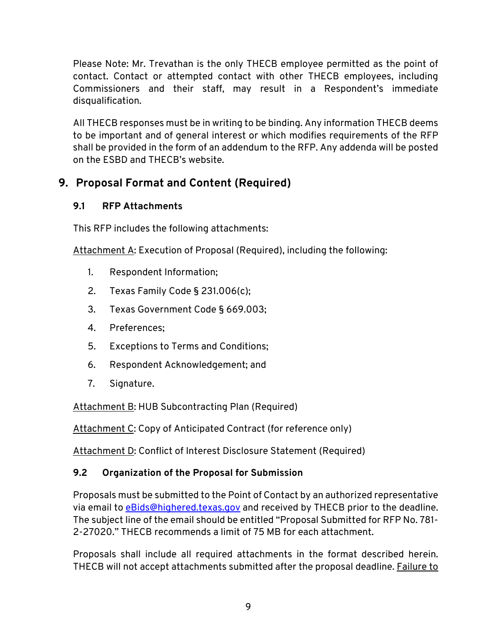Please Note: Mr. Trevathan is the only THECB employee permitted as the point of contact. Contact or attempted contact with other THECB employees, including Commissioners and their staff, may result in a Respondent's immediate disqualification.

All THECB responses must be in writing to be binding. Any information THECB deems to be important and of general interest or which modifies requirements of the RFP shall be provided in the form of an addendum to the RFP. Any addenda will be posted on the ESBD and THECB's website.

## <span id="page-11-0"></span>**9. Proposal Format and Content (Required)**

## <span id="page-11-1"></span>**9.1 RFP Attachments**

This RFP includes the following attachments:

Attachment A: Execution of Proposal (Required), including the following:

- 1. Respondent Information;
- 2. Texas Family Code § 231.006(c);
- 3. Texas Government Code § 669.003;
- 4. Preferences;
- 5. Exceptions to Terms and Conditions;
- 6. Respondent Acknowledgement; and
- 7. Signature.

Attachment B: HUB Subcontracting Plan (Required)

Attachment C: Copy of Anticipated Contract (for reference only)

Attachment D: Conflict of Interest Disclosure Statement (Required)

## <span id="page-11-2"></span>**9.2 Organization of the Proposal for Submission**

Proposals must be submitted to the Point of Contact by an authorized representative via email to [eBids@highered.texas.gov](mailto:eBids@highered.texas.gov) and received by THECB prior to the deadline. The subject line of the email should be entitled "Proposal Submitted for RFP No. 781- 2-27020." THECB recommends a limit of 75 MB for each attachment.

Proposals shall include all required attachments in the format described herein. THECB will not accept attachments submitted after the proposal deadline. Failure to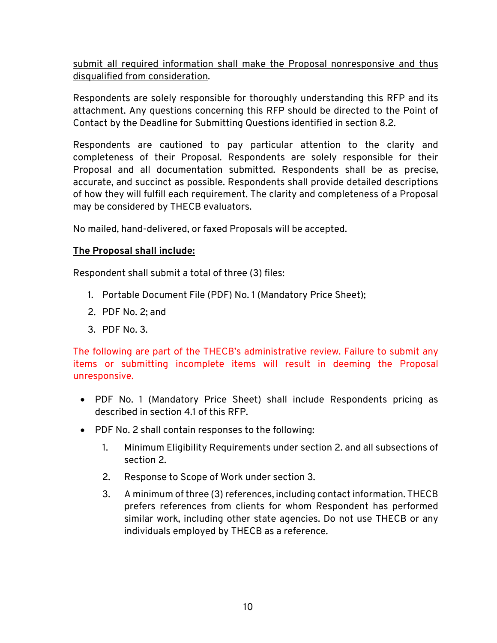submit all required information shall make the Proposal nonresponsive and thus disqualified from consideration.

Respondents are solely responsible for thoroughly understanding this RFP and its attachment. Any questions concerning this RFP should be directed to the Point of Contact by the Deadline for Submitting Questions identified in section 8.2.

Respondents are cautioned to pay particular attention to the clarity and completeness of their Proposal. Respondents are solely responsible for their Proposal and all documentation submitted. Respondents shall be as precise, accurate, and succinct as possible. Respondents shall provide detailed descriptions of how they will fulfill each requirement. The clarity and completeness of a Proposal may be considered by THECB evaluators.

No mailed, hand-delivered, or faxed Proposals will be accepted.

#### **The Proposal shall include:**

Respondent shall submit a total of three (3) files:

- 1. Portable Document File (PDF) No. 1 (Mandatory Price Sheet);
- 2. PDF No. 2; and
- 3. PDF No. 3.

The following are part of the THECB's administrative review. Failure to submit any items or submitting incomplete items will result in deeming the Proposal unresponsive.

- PDF No. 1 (Mandatory Price Sheet) shall include Respondents pricing as described in section 4.1 of this RFP.
- PDF No. 2 shall contain responses to the following:
	- 1. Minimum Eligibility Requirements under section 2. and all subsections of section 2.
	- 2. Response to Scope of Work under section 3.
	- 3. A minimum of three (3) references, including contact information. THECB prefers references from clients for whom Respondent has performed similar work, including other state agencies. Do not use THECB or any individuals employed by THECB as a reference.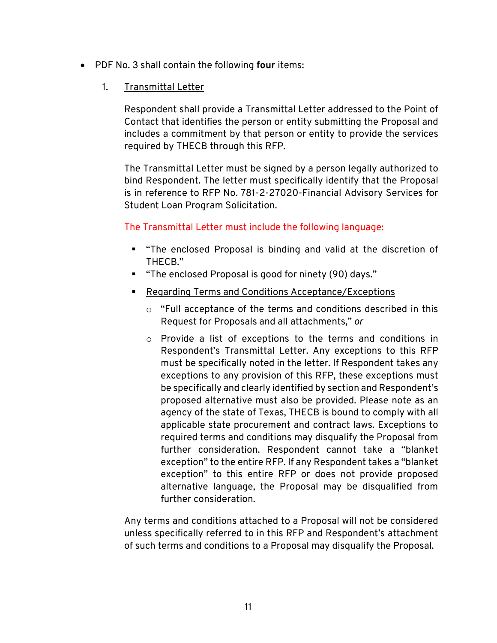- PDF No. 3 shall contain the following **four** items:
	- 1. Transmittal Letter

Respondent shall provide a Transmittal Letter addressed to the Point of Contact that identifies the person or entity submitting the Proposal and includes a commitment by that person or entity to provide the services required by THECB through this RFP.

The Transmittal Letter must be signed by a person legally authorized to bind Respondent. The letter must specifically identify that the Proposal is in reference to RFP No. 781-2-27020-Financial Advisory Services for Student Loan Program Solicitation.

#### The Transmittal Letter must include the following language:

- "The enclosed Proposal is binding and valid at the discretion of THECB."
- "The enclosed Proposal is good for ninety (90) days."
- Regarding Terms and Conditions Acceptance/Exceptions
	- o "Full acceptance of the terms and conditions described in this Request for Proposals and all attachments," *or*
	- o Provide a list of exceptions to the terms and conditions in Respondent's Transmittal Letter. Any exceptions to this RFP must be specifically noted in the letter. If Respondent takes any exceptions to any provision of this RFP, these exceptions must be specifically and clearly identified by section and Respondent's proposed alternative must also be provided. Please note as an agency of the state of Texas, THECB is bound to comply with all applicable state procurement and contract laws. Exceptions to required terms and conditions may disqualify the Proposal from further consideration. Respondent cannot take a "blanket exception" to the entire RFP. If any Respondent takes a "blanket exception" to this entire RFP or does not provide proposed alternative language, the Proposal may be disqualified from further consideration.

Any terms and conditions attached to a Proposal will not be considered unless specifically referred to in this RFP and Respondent's attachment of such terms and conditions to a Proposal may disqualify the Proposal.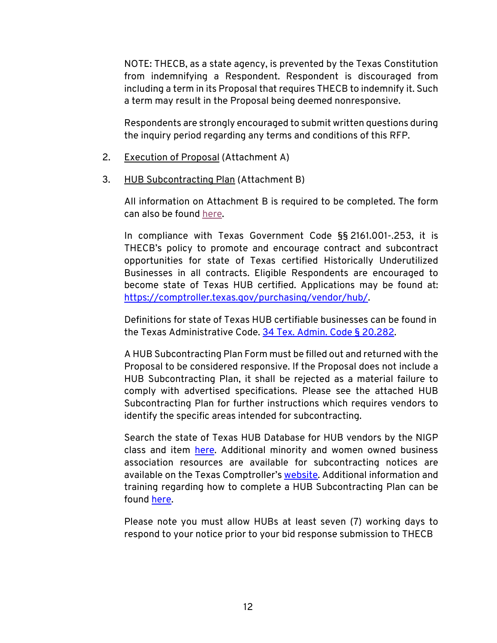NOTE: THECB, as a state agency, is prevented by the Texas Constitution from indemnifying a Respondent. Respondent is discouraged from including a term in its Proposal that requires THECB to indemnify it. Such a term may result in the Proposal being deemed nonresponsive.

Respondents are strongly encouraged to submit written questions during the inquiry period regarding any terms and conditions of this RFP.

- 2. Execution of Proposal (Attachment A)
- 3. HUB Subcontracting Plan (Attachment B)

All information on Attachment B is required to be completed. The form can also be found [here.](https://comptroller.texas.gov/purchasing/vendor/hub/forms.php)

In compliance with Texas Government Code §§ 2161.001-.253, it is THECB's policy to promote and encourage contract and subcontract opportunities for state of Texas certified Historically Underutilized Businesses in all contracts. Eligible Respondents are encouraged to become state of Texas HUB certified. Applications may be found at: [https://comptroller.texas.gov/purchasing/vendor/hub/.](https://comptroller.texas.gov/purchasing/vendor/hub/)

Definitions for state of Texas HUB certifiable businesses can be found in the Texas Administrative Code. [34 Tex. Admin. Code §](https://texreg.sos.state.tx.us/public/readtac$ext.TacPage?sl=R&app=9&p_dir=&p_rloc=&p_tloc=&p_ploc=&pg=1&p_tac=&ti=34&pt=1&ch=20&rl=282) 20.282.

A HUB Subcontracting Plan Form must be filled out and returned with the Proposal to be considered responsive. If the Proposal does not include a HUB Subcontracting Plan, it shall be rejected as a material failure to comply with advertised specifications. Please see the attached HUB Subcontracting Plan for further instructions which requires vendors to identify the specific areas intended for subcontracting.

Search the state of Texas HUB Database for HUB vendors by the NIGP class and item [here.](https://mycpa.cpa.state.tx.us/tpasscmblsearch/) Additional minority and women owned business association resources are available for subcontracting notices are available on the Texas Comptroller's [website.](https://comptroller.texas.gov/purchasing/vendor/hub/) Additional information and training regarding how to complete a HUB Subcontracting Plan can be found [here.](https://comptroller.texas.gov/purchasing/vendor/hub/forms.php)

Please note you must allow HUBs at least seven (7) working days to respond to your notice prior to your bid response submission to THECB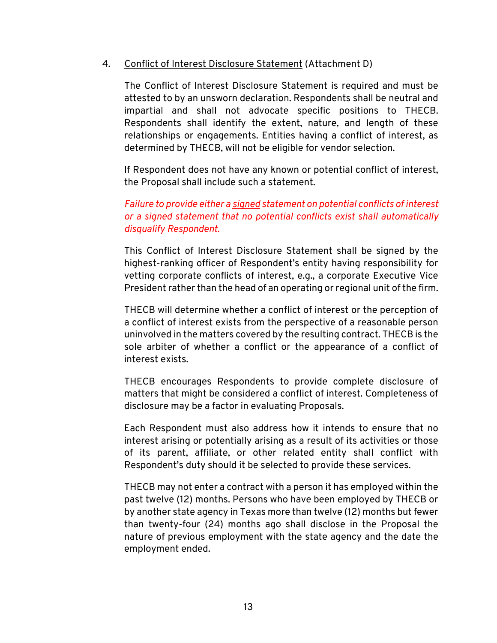#### 4. Conflict of Interest Disclosure Statement (Attachment D)

The Conflict of Interest Disclosure Statement is required and must be attested to by an unsworn declaration. Respondents shall be neutral and impartial and shall not advocate specific positions to THECB. Respondents shall identify the extent, nature, and length of these relationships or engagements. Entities having a conflict of interest, as determined by THECB, will not be eligible for vendor selection.

If Respondent does not have any known or potential conflict of interest, the Proposal shall include such a statement.

#### *Failure to provide either a signed statement on potential conflicts of interest or a signed statement that no potential conflicts exist shall automatically disqualify Respondent.*

This Conflict of Interest Disclosure Statement shall be signed by the highest-ranking officer of Respondent's entity having responsibility for vetting corporate conflicts of interest, e.g., a corporate Executive Vice President rather than the head of an operating or regional unit of the firm.

THECB will determine whether a conflict of interest or the perception of a conflict of interest exists from the perspective of a reasonable person uninvolved in the matters covered by the resulting contract. THECB is the sole arbiter of whether a conflict or the appearance of a conflict of interest exists.

THECB encourages Respondents to provide complete disclosure of matters that might be considered a conflict of interest. Completeness of disclosure may be a factor in evaluating Proposals.

Each Respondent must also address how it intends to ensure that no interest arising or potentially arising as a result of its activities or those of its parent, affiliate, or other related entity shall conflict with Respondent's duty should it be selected to provide these services.

THECB may not enter a contract with a person it has employed within the past twelve (12) months. Persons who have been employed by THECB or by another state agency in Texas more than twelve (12) months but fewer than twenty-four (24) months ago shall disclose in the Proposal the nature of previous employment with the state agency and the date the employment ended.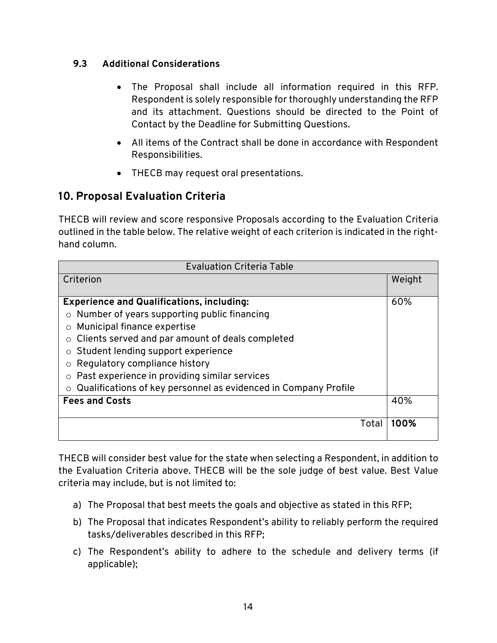#### <span id="page-16-0"></span>**9.3 Additional Considerations**

- The Proposal shall include all information required in this RFP. Respondent is solely responsible for thoroughly understanding the RFP and its attachment. Questions should be directed to the Point of Contact by the Deadline for Submitting Questions.
- All items of the Contract shall be done in accordance with Respondent Responsibilities.
- THECB may request oral presentations.

## <span id="page-16-1"></span>**10. Proposal Evaluation Criteria**

THECB will review and score responsive Proposals according to the Evaluation Criteria outlined in the table below. The relative weight of each criterion is indicated in the righthand column.

| <b>Evaluation Criteria Table</b>                                |      |  |  |  |  |
|-----------------------------------------------------------------|------|--|--|--|--|
| Criterion                                                       |      |  |  |  |  |
|                                                                 |      |  |  |  |  |
| <b>Experience and Qualifications, including:</b>                |      |  |  |  |  |
| Number of years supporting public financing                     |      |  |  |  |  |
| Municipal finance expertise                                     |      |  |  |  |  |
| Clients served and par amount of deals completed<br>$\circ$     |      |  |  |  |  |
| Student lending support experience                              |      |  |  |  |  |
| Regulatory compliance history                                   |      |  |  |  |  |
| Past experience in providing similar services                   |      |  |  |  |  |
| Qualifications of key personnel as evidenced in Company Profile |      |  |  |  |  |
| <b>Fees and Costs</b>                                           |      |  |  |  |  |
|                                                                 |      |  |  |  |  |
| Total                                                           | 100% |  |  |  |  |
|                                                                 |      |  |  |  |  |

THECB will consider best value for the state when selecting a Respondent, in addition to the Evaluation Criteria above. THECB will be the sole judge of best value. Best Value criteria may include, but is not limited to:

- a) The Proposal that best meets the goals and objective as stated in this RFP;
- b) The Proposal that indicates Respondent's ability to reliably perform the required tasks/deliverables described in this RFP;
- c) The Respondent's ability to adhere to the schedule and delivery terms (if applicable);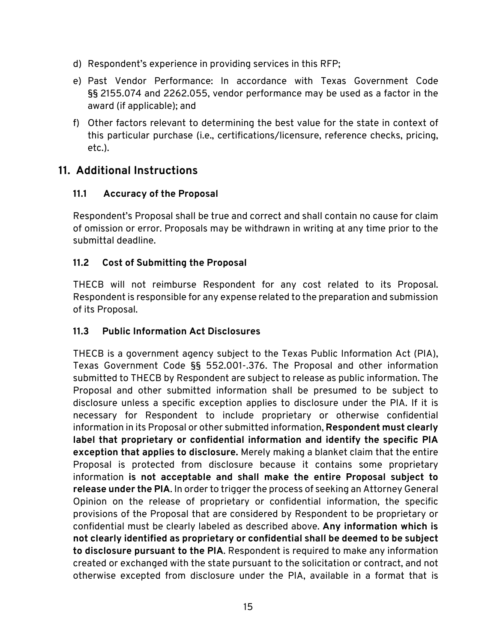- d) Respondent's experience in providing services in this RFP;
- e) Past Vendor Performance: In accordance with Texas Government Code §§ 2155.074 and 2262.055, vendor performance may be used as a factor in the award (if applicable); and
- f) Other factors relevant to determining the best value for the state in context of this particular purchase (i.e., certifications/licensure, reference checks, pricing, etc.).

## <span id="page-17-0"></span>**11. Additional Instructions**

## <span id="page-17-1"></span>**11.1 Accuracy of the Proposal**

Respondent's Proposal shall be true and correct and shall contain no cause for claim of omission or error. Proposals may be withdrawn in writing at any time prior to the submittal deadline.

## <span id="page-17-2"></span>**11.2 Cost of Submitting the Proposal**

THECB will not reimburse Respondent for any cost related to its Proposal. Respondent is responsible for any expense related to the preparation and submission of its Proposal.

#### <span id="page-17-3"></span>**11.3 Public Information Act Disclosures**

THECB is a government agency subject to the Texas Public Information Act (PIA), Texas Government Code §§ 552.001-.376. The Proposal and other information submitted to THECB by Respondent are subject to release as public information. The Proposal and other submitted information shall be presumed to be subject to disclosure unless a specific exception applies to disclosure under the PIA. If it is necessary for Respondent to include proprietary or otherwise confidential information in its Proposal or other submitted information, **Respondent must clearly label that proprietary or confidential information and identify the specific PIA exception that applies to disclosure.** Merely making a blanket claim that the entire Proposal is protected from disclosure because it contains some proprietary information **is not acceptable and shall make the entire Proposal subject to release under the PIA**. In order to trigger the process of seeking an Attorney General Opinion on the release of proprietary or confidential information, the specific provisions of the Proposal that are considered by Respondent to be proprietary or confidential must be clearly labeled as described above. **Any information which is not clearly identified as proprietary or confidential shall be deemed to be subject to disclosure pursuant to the PIA**. Respondent is required to make any information created or exchanged with the state pursuant to the solicitation or contract, and not otherwise excepted from disclosure under the PIA, available in a format that is